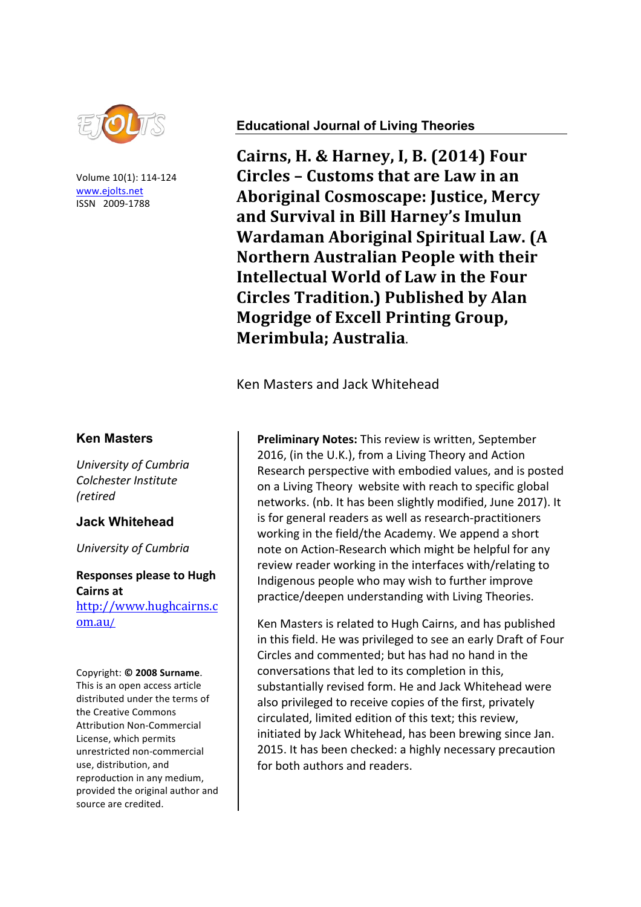

Volume 10(1): 114-124 www.ejolts.net ISSN 2009-1788

# **Ken Masters**

*University of Cumbria Colchester Institute (retired*

### **Jack Whitehead**

*University of Cumbria*

**Responses please to Hugh Cairns at**  http://www.hughcairns.c om.au/

Copyright: **© 2008 Surname**. This is an open access article distributed under the terms of the Creative Commons Attribution Non-Commercial License, which permits unrestricted non-commercial use, distribution, and reproduction in any medium, provided the original author and source are credited.

## **Educational Journal of Living Theories**

**Cairns, H. & Harney, I, B. (2014) Four Circles – Customs that are Law in an Aboriginal Cosmoscape: Justice, Mercy** and Survival in Bill Harney's Imulun **Wardaman Aboriginal Spiritual Law. (A Northern Australian People with their Intellectual World of Law in the Four Circles Tradition.) Published by Alan Mogridge of Excell Printing Group, Merimbula: Australia.** 

Ken Masters and Jack Whitehead

**Preliminary Notes:** This review is written, September 2016, (in the U.K.), from a Living Theory and Action Research perspective with embodied values, and is posted on a Living Theory website with reach to specific global networks. (nb. It has been slightly modified, June 2017). It is for general readers as well as research-practitioners working in the field/the Academy. We append a short note on Action-Research which might be helpful for any review reader working in the interfaces with/relating to Indigenous people who may wish to further improve practice/deepen understanding with Living Theories.

Ken Masters is related to Hugh Cairns, and has published in this field. He was privileged to see an early Draft of Four Circles and commented; but has had no hand in the conversations that led to its completion in this. substantially revised form. He and Jack Whitehead were also privileged to receive copies of the first, privately circulated, limited edition of this text; this review, initiated by Jack Whitehead, has been brewing since Jan. 2015. It has been checked: a highly necessary precaution for both authors and readers.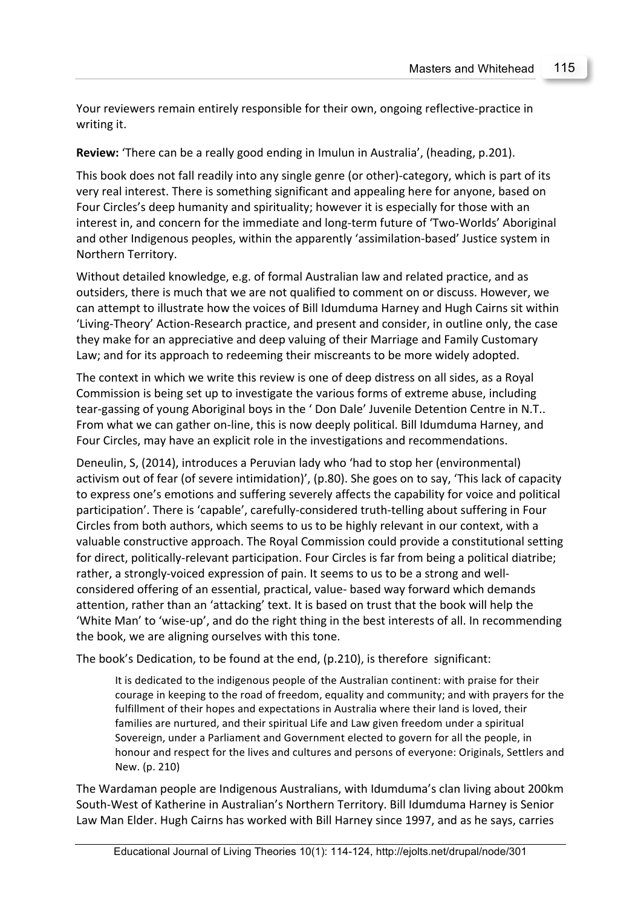Your reviewers remain entirely responsible for their own, ongoing reflective-practice in writing it.

# **Review:** 'There can be a really good ending in Imulun in Australia', (heading, p.201).

This book does not fall readily into any single genre (or other)-category, which is part of its very real interest. There is something significant and appealing here for anyone, based on Four Circles's deep humanity and spirituality; however it is especially for those with an interest in, and concern for the immediate and long-term future of 'Two-Worlds' Aboriginal and other Indigenous peoples, within the apparently 'assimilation-based' Justice system in Northern Territory.

Without detailed knowledge, e.g. of formal Australian law and related practice, and as outsiders, there is much that we are not qualified to comment on or discuss. However, we can attempt to illustrate how the voices of Bill Idumduma Harney and Hugh Cairns sit within 'Living-Theory' Action-Research practice, and present and consider, in outline only, the case they make for an appreciative and deep valuing of their Marriage and Family Customary Law; and for its approach to redeeming their miscreants to be more widely adopted.

The context in which we write this review is one of deep distress on all sides, as a Royal Commission is being set up to investigate the various forms of extreme abuse, including tear-gassing of young Aboriginal boys in the ' Don Dale' Juvenile Detention Centre in N.T.. From what we can gather on-line, this is now deeply political. Bill Idumduma Harney, and Four Circles, may have an explicit role in the investigations and recommendations.

Deneulin, S, (2014), introduces a Peruvian lady who 'had to stop her (environmental) activism out of fear (of severe intimidation)', (p.80). She goes on to say, 'This lack of capacity to express one's emotions and suffering severely affects the capability for voice and political participation'. There is 'capable', carefully-considered truth-telling about suffering in Four Circles from both authors, which seems to us to be highly relevant in our context, with a valuable constructive approach. The Royal Commission could provide a constitutional setting for direct, politically-relevant participation. Four Circles is far from being a political diatribe; rather, a strongly-voiced expression of pain. It seems to us to be a strong and wellconsidered offering of an essential, practical, value- based way forward which demands attention, rather than an 'attacking' text. It is based on trust that the book will help the 'White Man' to 'wise-up', and do the right thing in the best interests of all. In recommending the book, we are aligning ourselves with this tone.

The book's Dedication, to be found at the end,  $(p.210)$ , is therefore significant:

It is dedicated to the indigenous people of the Australian continent: with praise for their courage in keeping to the road of freedom, equality and community; and with prayers for the fulfillment of their hopes and expectations in Australia where their land is loved, their families are nurtured, and their spiritual Life and Law given freedom under a spiritual Sovereign, under a Parliament and Government elected to govern for all the people, in honour and respect for the lives and cultures and persons of everyone: Originals, Settlers and New. (p. 210) 

The Wardaman people are Indigenous Australians, with Idumduma's clan living about 200km South-West of Katherine in Australian's Northern Territory. Bill Idumduma Harney is Senior Law Man Elder. Hugh Cairns has worked with Bill Harney since 1997, and as he says, carries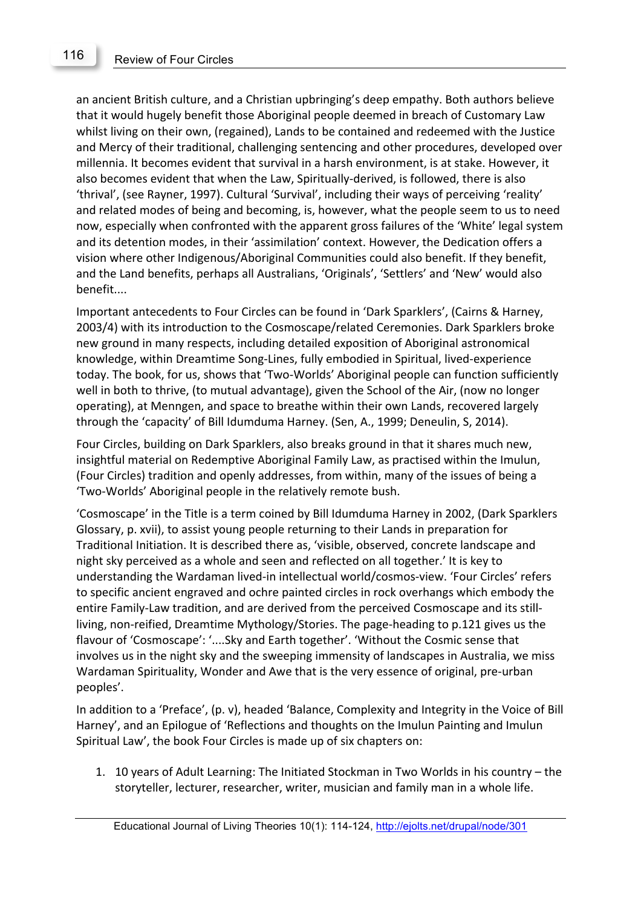an ancient British culture, and a Christian upbringing's deep empathy. Both authors believe that it would hugely benefit those Aboriginal people deemed in breach of Customary Law whilst living on their own, (regained), Lands to be contained and redeemed with the Justice and Mercy of their traditional, challenging sentencing and other procedures, developed over millennia. It becomes evident that survival in a harsh environment, is at stake. However, it also becomes evident that when the Law, Spiritually-derived, is followed, there is also 'thrival', (see Rayner, 1997). Cultural 'Survival', including their ways of perceiving 'reality' and related modes of being and becoming, is, however, what the people seem to us to need now, especially when confronted with the apparent gross failures of the 'White' legal system and its detention modes, in their 'assimilation' context. However, the Dedication offers a vision where other Indigenous/Aboriginal Communities could also benefit. If they benefit, and the Land benefits, perhaps all Australians, 'Originals', 'Settlers' and 'New' would also benefit.... 

Important antecedents to Four Circles can be found in 'Dark Sparklers', (Cairns & Harney, 2003/4) with its introduction to the Cosmoscape/related Ceremonies. Dark Sparklers broke new ground in many respects, including detailed exposition of Aboriginal astronomical knowledge, within Dreamtime Song-Lines, fully embodied in Spiritual, lived-experience today. The book, for us, shows that 'Two-Worlds' Aboriginal people can function sufficiently well in both to thrive, (to mutual advantage), given the School of the Air, (now no longer operating), at Menngen, and space to breathe within their own Lands, recovered largely through the 'capacity' of Bill Idumduma Harney. (Sen, A., 1999; Deneulin, S, 2014).

Four Circles, building on Dark Sparklers, also breaks ground in that it shares much new, insightful material on Redemptive Aboriginal Family Law, as practised within the Imulun, (Four Circles) tradition and openly addresses, from within, many of the issues of being a 'Two-Worlds' Aboriginal people in the relatively remote bush.

'Cosmoscape' in the Title is a term coined by Bill Idumduma Harney in 2002, (Dark Sparklers Glossary, p. xvii), to assist young people returning to their Lands in preparation for Traditional Initiation. It is described there as, 'visible, observed, concrete landscape and night sky perceived as a whole and seen and reflected on all together.' It is key to understanding the Wardaman lived-in intellectual world/cosmos-view. 'Four Circles' refers to specific ancient engraved and ochre painted circles in rock overhangs which embody the entire Family-Law tradition, and are derived from the perceived Cosmoscape and its stillliving, non-reified, Dreamtime Mythology/Stories. The page-heading to p.121 gives us the flavour of 'Cosmoscape': '....Sky and Earth together'. 'Without the Cosmic sense that involves us in the night sky and the sweeping immensity of landscapes in Australia, we miss Wardaman Spirituality, Wonder and Awe that is the very essence of original, pre-urban peoples'. 

In addition to a 'Preface', (p. v), headed 'Balance, Complexity and Integrity in the Voice of Bill Harney', and an Epilogue of 'Reflections and thoughts on the Imulun Painting and Imulun Spiritual Law', the book Four Circles is made up of six chapters on:

1. 10 years of Adult Learning: The Initiated Stockman in Two Worlds in his country – the storyteller, lecturer, researcher, writer, musician and family man in a whole life.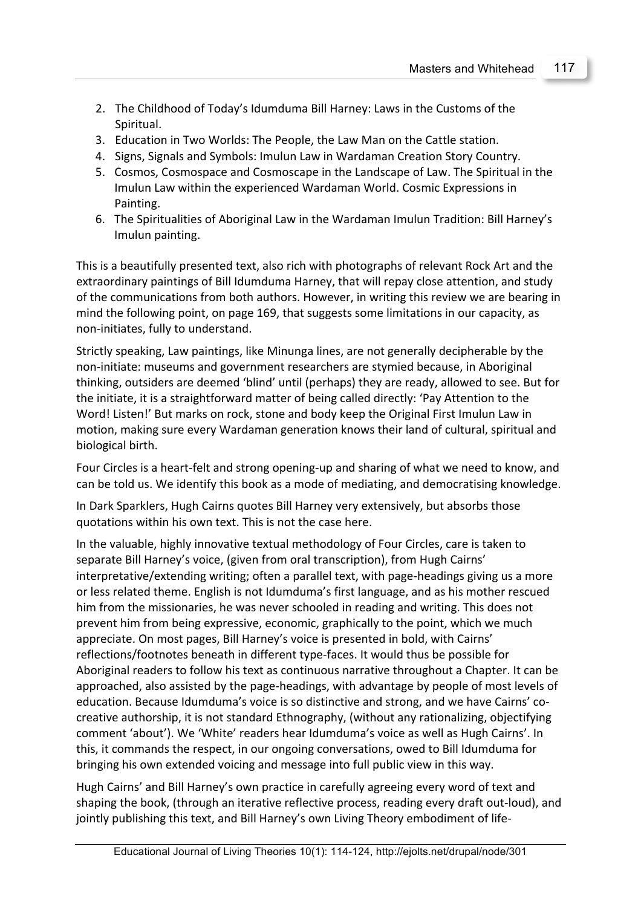- 2. The Childhood of Today's Idumduma Bill Harney: Laws in the Customs of the Spiritual.
- 3. Education in Two Worlds: The People, the Law Man on the Cattle station.
- 4. Signs, Signals and Symbols: Imulun Law in Wardaman Creation Story Country.
- 5. Cosmos, Cosmospace and Cosmoscape in the Landscape of Law. The Spiritual in the Imulun Law within the experienced Wardaman World. Cosmic Expressions in Painting.
- 6. The Spiritualities of Aboriginal Law in the Wardaman Imulun Tradition: Bill Harney's Imulun painting.

This is a beautifully presented text, also rich with photographs of relevant Rock Art and the extraordinary paintings of Bill Idumduma Harney, that will repay close attention, and study of the communications from both authors. However, in writing this review we are bearing in mind the following point, on page 169, that suggests some limitations in our capacity, as non-initiates, fully to understand.

Strictly speaking, Law paintings, like Minunga lines, are not generally decipherable by the non-initiate: museums and government researchers are stymied because, in Aboriginal thinking, outsiders are deemed 'blind' until (perhaps) they are ready, allowed to see. But for the initiate, it is a straightforward matter of being called directly: 'Pay Attention to the Word! Listen!' But marks on rock, stone and body keep the Original First Imulun Law in motion, making sure every Wardaman generation knows their land of cultural, spiritual and biological birth.

Four Circles is a heart-felt and strong opening-up and sharing of what we need to know, and can be told us. We identify this book as a mode of mediating, and democratising knowledge.

In Dark Sparklers, Hugh Cairns quotes Bill Harney very extensively, but absorbs those quotations within his own text. This is not the case here.

In the valuable, highly innovative textual methodology of Four Circles, care is taken to separate Bill Harney's voice, (given from oral transcription), from Hugh Cairns' interpretative/extending writing; often a parallel text, with page-headings giving us a more or less related theme. English is not Idumduma's first language, and as his mother rescued him from the missionaries, he was never schooled in reading and writing. This does not prevent him from being expressive, economic, graphically to the point, which we much appreciate. On most pages, Bill Harney's voice is presented in bold, with Cairns' reflections/footnotes beneath in different type-faces. It would thus be possible for Aboriginal readers to follow his text as continuous narrative throughout a Chapter. It can be approached, also assisted by the page-headings, with advantage by people of most levels of education. Because Idumduma's voice is so distinctive and strong, and we have Cairns' cocreative authorship, it is not standard Ethnography, (without any rationalizing, objectifying comment 'about'). We 'White' readers hear Idumduma's voice as well as Hugh Cairns'. In this, it commands the respect, in our ongoing conversations, owed to Bill Idumduma for bringing his own extended voicing and message into full public view in this way.

Hugh Cairns' and Bill Harney's own practice in carefully agreeing every word of text and shaping the book, (through an iterative reflective process, reading every draft out-loud), and jointly publishing this text, and Bill Harney's own Living Theory embodiment of life-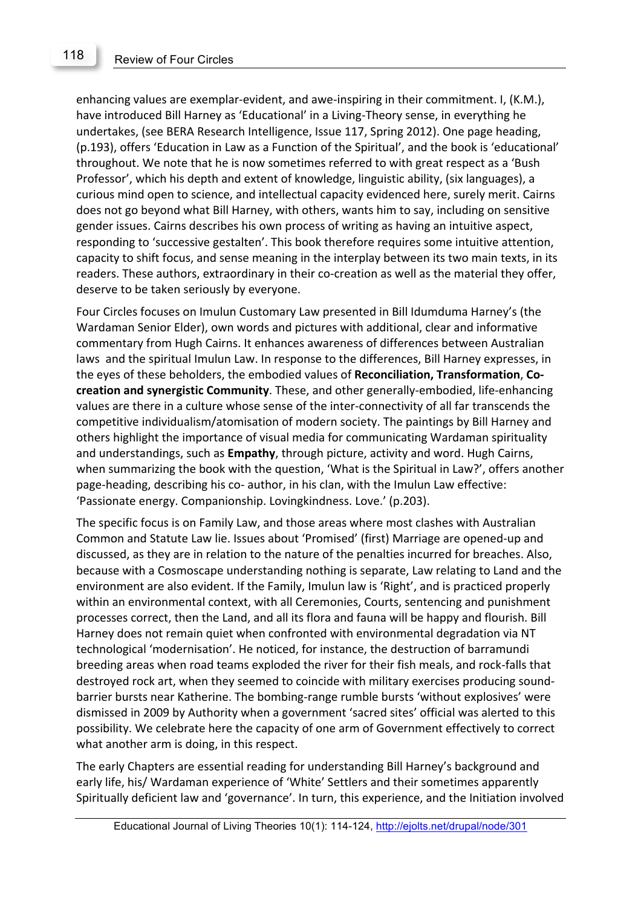enhancing values are exemplar-evident, and awe-inspiring in their commitment. I, (K.M.), have introduced Bill Harney as 'Educational' in a Living-Theory sense, in everything he undertakes, (see BERA Research Intelligence, Issue 117, Spring 2012). One page heading, (p.193), offers 'Education in Law as a Function of the Spiritual', and the book is 'educational' throughout. We note that he is now sometimes referred to with great respect as a 'Bush Professor', which his depth and extent of knowledge, linguistic ability, (six languages), a curious mind open to science, and intellectual capacity evidenced here, surely merit. Cairns does not go beyond what Bill Harney, with others, wants him to say, including on sensitive gender issues. Cairns describes his own process of writing as having an intuitive aspect, responding to 'successive gestalten'. This book therefore requires some intuitive attention, capacity to shift focus, and sense meaning in the interplay between its two main texts, in its readers. These authors, extraordinary in their co-creation as well as the material they offer, deserve to be taken seriously by everyone.

Four Circles focuses on Imulun Customary Law presented in Bill Idumduma Harney's (the Wardaman Senior Elder), own words and pictures with additional, clear and informative commentary from Hugh Cairns. It enhances awareness of differences between Australian laws and the spiritual Imulun Law. In response to the differences, Bill Harney expresses, in the eyes of these beholders, the embodied values of **Reconciliation, Transformation, Co**creation and synergistic Community. These, and other generally-embodied, life-enhancing values are there in a culture whose sense of the inter-connectivity of all far transcends the competitive individualism/atomisation of modern society. The paintings by Bill Harney and others highlight the importance of visual media for communicating Wardaman spirituality and understandings, such as **Empathy**, through picture, activity and word. Hugh Cairns, when summarizing the book with the question, 'What is the Spiritual in Law?', offers another page-heading, describing his co- author, in his clan, with the Imulun Law effective: 'Passionate energy. Companionship. Lovingkindness. Love.' (p.203).

The specific focus is on Family Law, and those areas where most clashes with Australian Common and Statute Law lie. Issues about 'Promised' (first) Marriage are opened-up and discussed, as they are in relation to the nature of the penalties incurred for breaches. Also, because with a Cosmoscape understanding nothing is separate, Law relating to Land and the environment are also evident. If the Family, Imulun law is 'Right', and is practiced properly within an environmental context, with all Ceremonies, Courts, sentencing and punishment processes correct, then the Land, and all its flora and fauna will be happy and flourish. Bill Harney does not remain quiet when confronted with environmental degradation via NT technological 'modernisation'. He noticed, for instance, the destruction of barramundi breeding areas when road teams exploded the river for their fish meals, and rock-falls that destroyed rock art, when they seemed to coincide with military exercises producing soundbarrier bursts near Katherine. The bombing-range rumble bursts 'without explosives' were dismissed in 2009 by Authority when a government 'sacred sites' official was alerted to this possibility. We celebrate here the capacity of one arm of Government effectively to correct what another arm is doing, in this respect.

The early Chapters are essential reading for understanding Bill Harney's background and early life, his/ Wardaman experience of 'White' Settlers and their sometimes apparently Spiritually deficient law and 'governance'. In turn, this experience, and the Initiation involved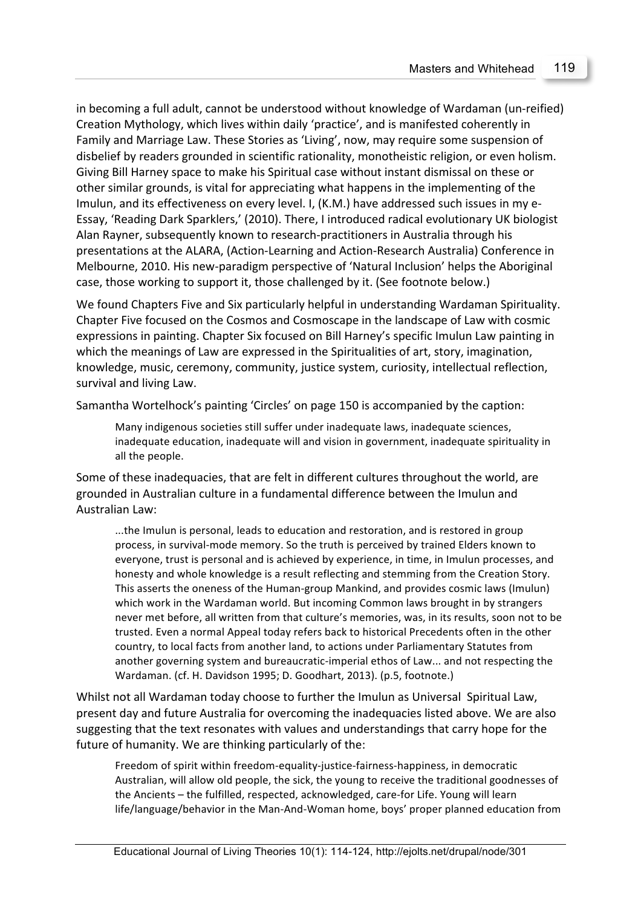in becoming a full adult, cannot be understood without knowledge of Wardaman (un-reified) Creation Mythology, which lives within daily 'practice', and is manifested coherently in Family and Marriage Law. These Stories as 'Living', now, may require some suspension of disbelief by readers grounded in scientific rationality, monotheistic religion, or even holism. Giving Bill Harney space to make his Spiritual case without instant dismissal on these or other similar grounds, is vital for appreciating what happens in the implementing of the Imulun, and its effectiveness on every level. I, (K.M.) have addressed such issues in my e-Essay, 'Reading Dark Sparklers,' (2010). There, I introduced radical evolutionary UK biologist Alan Rayner, subsequently known to research-practitioners in Australia through his presentations at the ALARA, (Action-Learning and Action-Research Australia) Conference in Melbourne, 2010. His new-paradigm perspective of 'Natural Inclusion' helps the Aboriginal case, those working to support it, those challenged by it. (See footnote below.)

We found Chapters Five and Six particularly helpful in understanding Wardaman Spirituality. Chapter Five focused on the Cosmos and Cosmoscape in the landscape of Law with cosmic expressions in painting. Chapter Six focused on Bill Harney's specific Imulun Law painting in which the meanings of Law are expressed in the Spiritualities of art, story, imagination, knowledge, music, ceremony, community, justice system, curiosity, intellectual reflection, survival and living Law.

Samantha Wortelhock's painting 'Circles' on page 150 is accompanied by the caption:

Many indigenous societies still suffer under inadequate laws, inadequate sciences, inadequate education, inadequate will and vision in government, inadequate spirituality in all the people.

Some of these inadequacies, that are felt in different cultures throughout the world, are grounded in Australian culture in a fundamental difference between the Imulun and Australian Law:

...the Imulun is personal, leads to education and restoration, and is restored in group process, in survival-mode memory. So the truth is perceived by trained Elders known to everyone, trust is personal and is achieved by experience, in time, in Imulun processes, and honesty and whole knowledge is a result reflecting and stemming from the Creation Story. This asserts the oneness of the Human-group Mankind, and provides cosmic laws (Imulun) which work in the Wardaman world. But incoming Common laws brought in by strangers never met before, all written from that culture's memories, was, in its results, soon not to be trusted. Even a normal Appeal today refers back to historical Precedents often in the other country, to local facts from another land, to actions under Parliamentary Statutes from another governing system and bureaucratic-imperial ethos of Law... and not respecting the Wardaman. (cf. H. Davidson 1995; D. Goodhart, 2013). (p.5, footnote.)

Whilst not all Wardaman today choose to further the Imulun as Universal Spiritual Law, present day and future Australia for overcoming the inadequacies listed above. We are also suggesting that the text resonates with values and understandings that carry hope for the future of humanity. We are thinking particularly of the:

Freedom of spirit within freedom-equality-justice-fairness-happiness, in democratic Australian, will allow old people, the sick, the young to receive the traditional goodnesses of the Ancients - the fulfilled, respected, acknowledged, care-for Life. Young will learn life/language/behavior in the Man-And-Woman home, boys' proper planned education from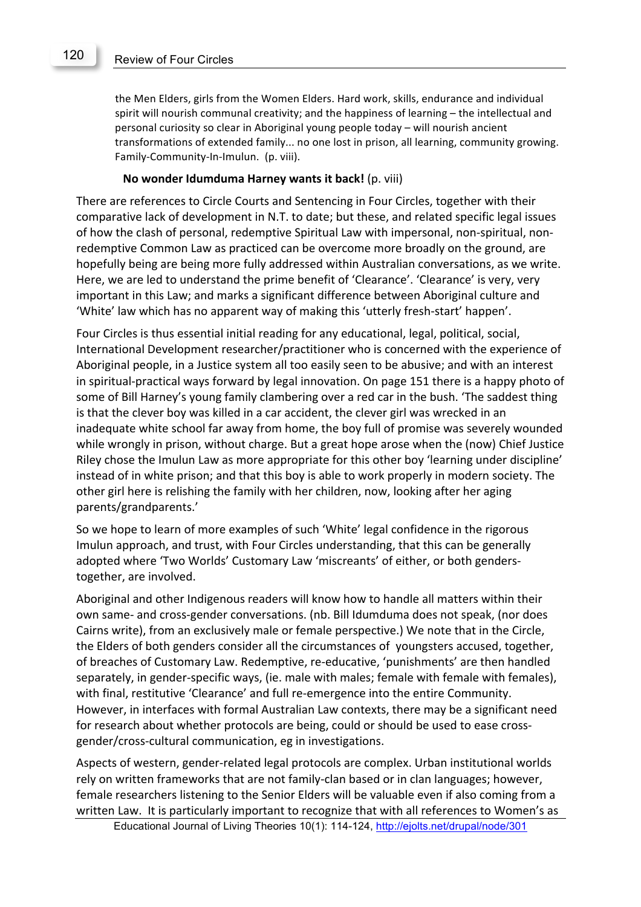the Men Elders, girls from the Women Elders. Hard work, skills, endurance and individual spirit will nourish communal creativity; and the happiness of learning – the intellectual and personal curiosity so clear in Aboriginal young people today – will nourish ancient transformations of extended family... no one lost in prison, all learning, community growing. Family-Community-In-Imulun. (p. viii).

#### **No wonder Idumduma Harney wants it back!** (p. viii)

There are references to Circle Courts and Sentencing in Four Circles, together with their comparative lack of development in N.T. to date; but these, and related specific legal issues of how the clash of personal, redemptive Spiritual Law with impersonal, non-spiritual, nonredemptive Common Law as practiced can be overcome more broadly on the ground, are hopefully being are being more fully addressed within Australian conversations, as we write. Here, we are led to understand the prime benefit of 'Clearance'. 'Clearance' is very, very important in this Law; and marks a significant difference between Aboriginal culture and 'White' law which has no apparent way of making this 'utterly fresh-start' happen'.

Four Circles is thus essential initial reading for any educational, legal, political, social, International Development researcher/practitioner who is concerned with the experience of Aboriginal people, in a Justice system all too easily seen to be abusive; and with an interest in spiritual-practical ways forward by legal innovation. On page 151 there is a happy photo of some of Bill Harney's young family clambering over a red car in the bush. 'The saddest thing is that the clever boy was killed in a car accident, the clever girl was wrecked in an inadequate white school far away from home, the boy full of promise was severely wounded while wrongly in prison, without charge. But a great hope arose when the (now) Chief Justice Riley chose the Imulun Law as more appropriate for this other boy 'learning under discipline' instead of in white prison; and that this boy is able to work properly in modern society. The other girl here is relishing the family with her children, now, looking after her aging parents/grandparents.' 

So we hope to learn of more examples of such 'White' legal confidence in the rigorous Imulun approach, and trust, with Four Circles understanding, that this can be generally adopted where 'Two Worlds' Customary Law 'miscreants' of either, or both genderstogether, are involved.

Aboriginal and other Indigenous readers will know how to handle all matters within their own same- and cross-gender conversations. (nb. Bill Idumduma does not speak, (nor does Cairns write), from an exclusively male or female perspective.) We note that in the Circle, the Elders of both genders consider all the circumstances of youngsters accused, together, of breaches of Customary Law. Redemptive, re-educative, 'punishments' are then handled separately, in gender-specific ways, (ie. male with males; female with female with females), with final, restitutive 'Clearance' and full re-emergence into the entire Community. However, in interfaces with formal Australian Law contexts, there may be a significant need for research about whether protocols are being, could or should be used to ease crossgender/cross-cultural communication, eg in investigations.

Aspects of western, gender-related legal protocols are complex. Urban institutional worlds rely on written frameworks that are not family-clan based or in clan languages; however, female researchers listening to the Senior Elders will be valuable even if also coming from a written Law. It is particularly important to recognize that with all references to Women's as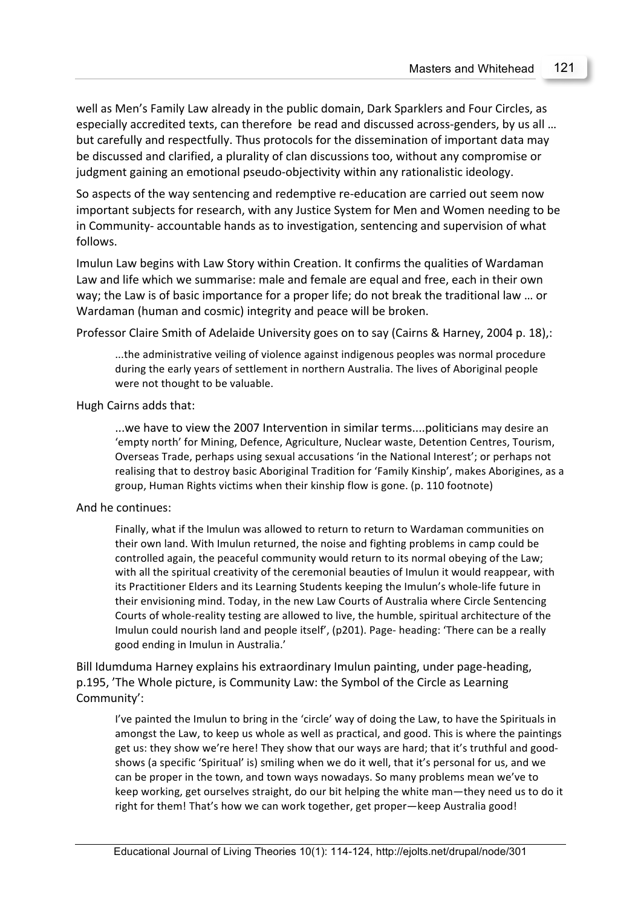well as Men's Family Law already in the public domain, Dark Sparklers and Four Circles, as especially accredited texts, can therefore be read and discussed across-genders, by us all ... but carefully and respectfully. Thus protocols for the dissemination of important data may be discussed and clarified, a plurality of clan discussions too, without any compromise or judgment gaining an emotional pseudo-objectivity within any rationalistic ideology.

So aspects of the way sentencing and redemptive re-education are carried out seem now important subjects for research, with any Justice System for Men and Women needing to be in Community- accountable hands as to investigation, sentencing and supervision of what follows. 

Imulun Law begins with Law Story within Creation. It confirms the qualities of Wardaman Law and life which we summarise: male and female are equal and free, each in their own way; the Law is of basic importance for a proper life; do not break the traditional law ... or Wardaman (human and cosmic) integrity and peace will be broken.

Professor Claire Smith of Adelaide University goes on to say (Cairns & Harney, 2004 p. 18),:

...the administrative veiling of violence against indigenous peoples was normal procedure during the early years of settlement in northern Australia. The lives of Aboriginal people were not thought to be valuable.

Hugh Cairns adds that:

...we have to view the 2007 Intervention in similar terms....politicians may desire an 'empty north' for Mining, Defence, Agriculture, Nuclear waste, Detention Centres, Tourism, Overseas Trade, perhaps using sexual accusations 'in the National Interest'; or perhaps not realising that to destroy basic Aboriginal Tradition for 'Family Kinship', makes Aborigines, as a group, Human Rights victims when their kinship flow is gone. (p. 110 footnote)

### And he continues:

Finally, what if the Imulun was allowed to return to return to Wardaman communities on their own land. With Imulun returned, the noise and fighting problems in camp could be controlled again, the peaceful community would return to its normal obeying of the Law; with all the spiritual creativity of the ceremonial beauties of Imulun it would reappear, with its Practitioner Elders and its Learning Students keeping the Imulun's whole-life future in their envisioning mind. Today, in the new Law Courts of Australia where Circle Sentencing Courts of whole-reality testing are allowed to live, the humble, spiritual architecture of the Imulun could nourish land and people itself', (p201). Page- heading: 'There can be a really good ending in Imulun in Australia.'

Bill Idumduma Harney explains his extraordinary Imulun painting, under page-heading, p.195, 'The Whole picture, is Community Law: the Symbol of the Circle as Learning Community': 

I've painted the Imulun to bring in the 'circle' way of doing the Law, to have the Spirituals in amongst the Law, to keep us whole as well as practical, and good. This is where the paintings get us: they show we're here! They show that our ways are hard; that it's truthful and goodshows (a specific 'Spiritual' is) smiling when we do it well, that it's personal for us, and we can be proper in the town, and town ways nowadays. So many problems mean we've to keep working, get ourselves straight, do our bit helping the white man—they need us to do it right for them! That's how we can work together, get proper—keep Australia good!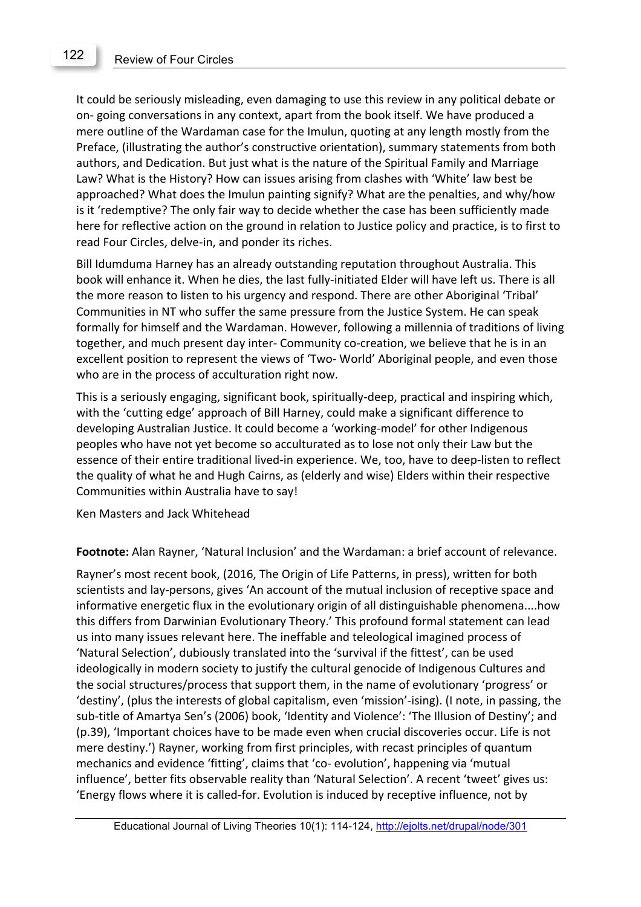It could be seriously misleading, even damaging to use this review in any political debate or on- going conversations in any context, apart from the book itself. We have produced a mere outline of the Wardaman case for the Imulun, quoting at any length mostly from the Preface, (illustrating the author's constructive orientation), summary statements from both authors, and Dedication. But just what is the nature of the Spiritual Family and Marriage Law? What is the History? How can issues arising from clashes with 'White' law best be approached? What does the Imulun painting signify? What are the penalties, and why/how is it 'redemptive? The only fair way to decide whether the case has been sufficiently made here for reflective action on the ground in relation to Justice policy and practice, is to first to read Four Circles, delve-in, and ponder its riches.

Bill Idumduma Harney has an already outstanding reputation throughout Australia. This book will enhance it. When he dies, the last fully-initiated Elder will have left us. There is all the more reason to listen to his urgency and respond. There are other Aboriginal 'Tribal' Communities in NT who suffer the same pressure from the Justice System. He can speak formally for himself and the Wardaman. However, following a millennia of traditions of living together, and much present day inter- Community co-creation, we believe that he is in an excellent position to represent the views of 'Two- World' Aboriginal people, and even those who are in the process of acculturation right now.

This is a seriously engaging, significant book, spiritually-deep, practical and inspiring which, with the 'cutting edge' approach of Bill Harney, could make a significant difference to developing Australian Justice. It could become a 'working-model' for other Indigenous peoples who have not yet become so acculturated as to lose not only their Law but the essence of their entire traditional lived-in experience. We, too, have to deep-listen to reflect the quality of what he and Hugh Cairns, as (elderly and wise) Elders within their respective Communities within Australia have to say!

Ken Masters and Jack Whitehead

Footnote: Alan Rayner, 'Natural Inclusion' and the Wardaman: a brief account of relevance.

Rayner's most recent book, (2016, The Origin of Life Patterns, in press), written for both scientists and lay-persons, gives 'An account of the mutual inclusion of receptive space and informative energetic flux in the evolutionary origin of all distinguishable phenomena....how this differs from Darwinian Evolutionary Theory.' This profound formal statement can lead us into many issues relevant here. The ineffable and teleological imagined process of 'Natural Selection', dubiously translated into the 'survival if the fittest', can be used ideologically in modern society to justify the cultural genocide of Indigenous Cultures and the social structures/process that support them, in the name of evolutionary 'progress' or 'destiny', (plus the interests of global capitalism, even 'mission'-ising). (I note, in passing, the sub-title of Amartya Sen's (2006) book, 'Identity and Violence': 'The Illusion of Destiny'; and (p.39), 'Important choices have to be made even when crucial discoveries occur. Life is not mere destiny.') Rayner, working from first principles, with recast principles of quantum mechanics and evidence 'fitting', claims that 'co- evolution', happening via 'mutual influence', better fits observable reality than 'Natural Selection'. A recent 'tweet' gives us: 'Energy flows where it is called-for. Evolution is induced by receptive influence, not by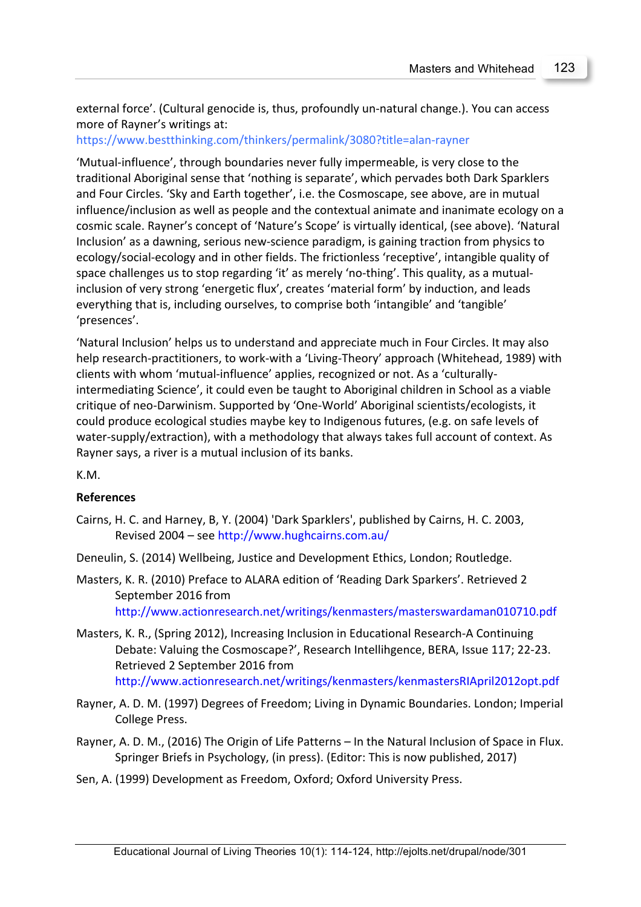external force'. (Cultural genocide is, thus, profoundly un-natural change.). You can access more of Rayner's writings at:

## https://www.bestthinking.com/thinkers/permalink/3080?title=alan-rayner

'Mutual-influence', through boundaries never fully impermeable, is very close to the traditional Aboriginal sense that 'nothing is separate', which pervades both Dark Sparklers and Four Circles. 'Sky and Earth together', i.e. the Cosmoscape, see above, are in mutual influence/inclusion as well as people and the contextual animate and inanimate ecology on a cosmic scale. Rayner's concept of 'Nature's Scope' is virtually identical, (see above). 'Natural Inclusion' as a dawning, serious new-science paradigm, is gaining traction from physics to ecology/social-ecology and in other fields. The frictionless 'receptive', intangible quality of space challenges us to stop regarding 'it' as merely 'no-thing'. This quality, as a mutualinclusion of very strong 'energetic flux', creates 'material form' by induction, and leads everything that is, including ourselves, to comprise both 'intangible' and 'tangible' 'presences'. 

'Natural Inclusion' helps us to understand and appreciate much in Four Circles. It may also help research-practitioners, to work-with a 'Living-Theory' approach (Whitehead, 1989) with clients with whom 'mutual-influence' applies, recognized or not. As a 'culturallyintermediating Science', it could even be taught to Aboriginal children in School as a viable critique of neo-Darwinism. Supported by 'One-World' Aboriginal scientists/ecologists, it could produce ecological studies maybe key to Indigenous futures, (e.g. on safe levels of water-supply/extraction), with a methodology that always takes full account of context. As Rayner says, a river is a mutual inclusion of its banks.

K.M. 

# **References**

Cairns, H. C. and Harney, B, Y. (2004) 'Dark Sparklers', published by Cairns, H. C. 2003, Revised 2004 - see http://www.hughcairns.com.au/

Deneulin, S. (2014) Wellbeing, Justice and Development Ethics, London; Routledge.

Masters, K. R. (2010) Preface to ALARA edition of 'Reading Dark Sparkers'. Retrieved 2 September 2016 from

http://www.actionresearch.net/writings/kenmasters/masterswardaman010710.pdf 

- Masters, K. R., (Spring 2012), Increasing Inclusion in Educational Research-A Continuing Debate: Valuing the Cosmoscape?', Research Intellihgence, BERA, Issue 117; 22-23. Retrieved 2 September 2016 from http://www.actionresearch.net/writings/kenmasters/kenmastersRIApril2012opt.pdf
- Rayner, A. D. M. (1997) Degrees of Freedom; Living in Dynamic Boundaries. London; Imperial College Press.
- Rayner, A. D. M., (2016) The Origin of Life Patterns In the Natural Inclusion of Space in Flux. Springer Briefs in Psychology, (in press). (Editor: This is now published, 2017)
- Sen, A. (1999) Development as Freedom, Oxford; Oxford University Press.